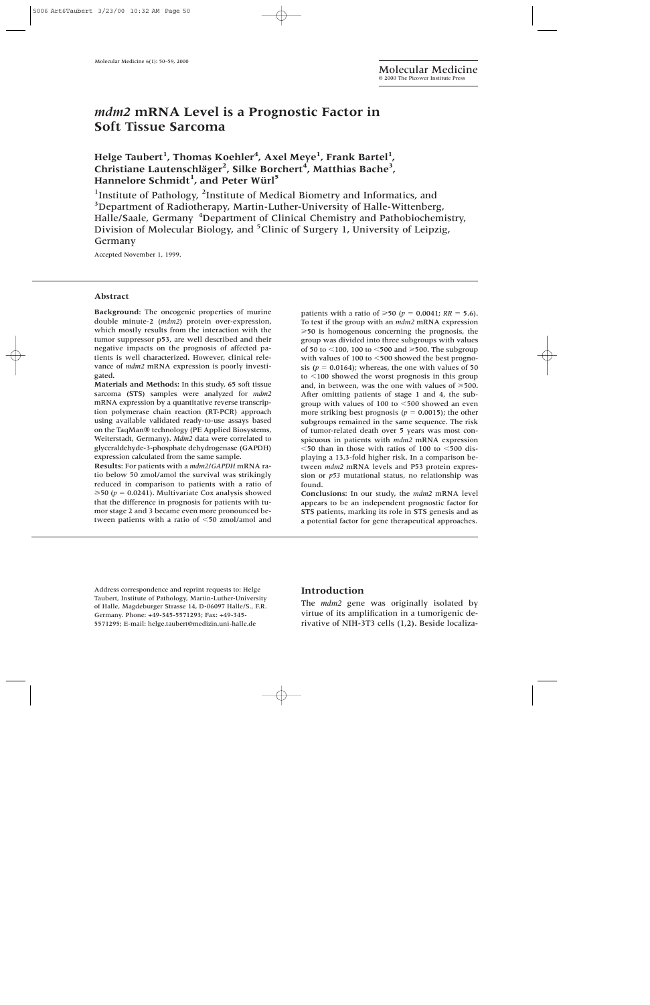# *mdm2* **mRNA Level is a Prognostic Factor in Soft Tissue Sarcoma**

## Helge Taubert<sup>1</sup>, Thomas Koehler<sup>4</sup>, Axel Meye<sup>1</sup>, Frank Bartel<sup>1</sup>, Christiane Lautenschläger<sup>2</sup>, Silke Borchert<sup>4</sup>, Matthias Bache<sup>3</sup>, **Hannelore Schmidt1 , and Peter Würl5**

<sup>1</sup>Institute of Pathology, <sup>2</sup>Institute of Medical Biometry and Informatics, and <sup>3</sup>Department of Radiotherapy, Martin-Luther-University of Halle-Wittenberg, Halle/Saale, Germany <sup>4</sup>Department of Clinical Chemistry and Pathobiochemistry, Division of Molecular Biology, and <sup>5</sup>Clinic of Surgery 1, University of Leipzig, Germany

Accepted November 1, 1999.

#### **Abstract**

**Background:** The oncogenic properties of murine double minute-2 (*mdm2*) protein over-expression, which mostly results from the interaction with the tumor suppressor p53, are well described and their negative impacts on the prognosis of affected patients is well characterized. However, clinical relevance of *mdm2* mRNA expression is poorly investigated.

**Materials and Methods:** In this study, 65 soft tissue sarcoma (STS) samples were analyzed for *mdm2* mRNA expression by a quantitative reverse transcription polymerase chain reaction (RT-PCR) approach using available validated ready-to-use assays based on the TaqMan® technology (PE Applied Biosystems, Weiterstadt, Germany). *Mdm2* data were correlated to glyceraldehyde-3-phosphate dehydrogenase (GAPDH) expression calculated from the same sample.

**Results:** For patients with a *mdm2*/*GAPDH* mRNA ratio below 50 zmol/amol the survival was strikingly reduced in comparison to patients with a ratio of  $\geq$  50 ( $p = 0.0241$ ). Multivariate Cox analysis showed that the difference in prognosis for patients with tumor stage 2 and 3 became even more pronounced between patients with a ratio of <50 zmol/amol and

patients with a ratio of  $\geq 50$  ( $p = 0.0041$ ;  $RR = 5.6$ ). To test if the group with an *mdm2* mRNA expression  $\geq$  50 is homogenous concerning the prognosis, the group was divided into three subgroups with values of 50 to  $\leq$ 100, 100 to  $\leq$ 500 and  $\geq$ 500. The subgroup with values of 100 to  $<$  500 showed the best prognosis ( $p = 0.0164$ ); whereas, the one with values of 50 to  $\leq 100$  showed the worst prognosis in this group and, in between, was the one with values of  $\geq 500$ . After omitting patients of stage 1 and 4, the subgroup with values of 100 to 500 showed an even more striking best prognosis ( $p = 0.0015$ ); the other subgroups remained in the same sequence. The risk of tumor-related death over 5 years was most conspicuous in patients with *mdm2* mRNA expression  $<$  50 than in those with ratios of 100 to  $<$  500 displaying a 13.3-fold higher risk. In a comparison between *mdm2* mRNA levels and P53 protein expression or *p53* mutational status, no relationship was found.

**Conclusions:** In our study, the *mdm2* mRNA level appears to be an independent prognostic factor for STS patients, marking its role in STS genesis and as a potential factor for gene therapeutical approaches.

Address correspondence and reprint requests to: Helge Taubert, Institute of Pathology, Martin-Luther-University of Halle, Magdeburger Strasse 14, D-06097 Halle/S., F.R. Germany. Phone: +49-345-5571293; Fax: +49-345- 5571295; E-mail: helge.taubert@medizin.uni-halle.de

## **Introduction**

The *mdm2* gene was originally isolated by virtue of its amplification in a tumorigenic derivative of NIH-3T3 cells (1,2). Beside localiza-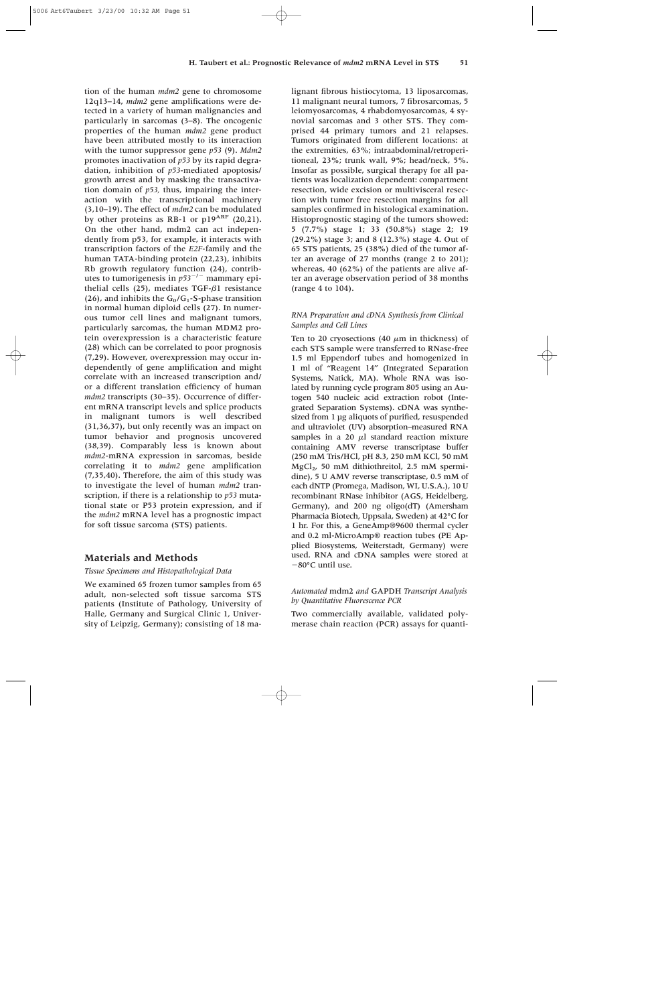tion of the human *mdm2* gene to chromosome 12q13–14, *mdm2* gene amplifications were detected in a variety of human malignancies and particularly in sarcomas (3–8). The oncogenic properties of the human *mdm2* gene product have been attributed mostly to its interaction with the tumor suppressor gene *p53* (9). *Mdm2* promotes inactivation of *p53* by its rapid degradation, inhibition of *p53*-mediated apoptosis/ growth arrest and by masking the transactivation domain of *p53,* thus, impairing the interaction with the transcriptional machinery (3,10–19). The effect of *mdm2* can be modulated by other proteins as RB-1 or  $p19^{ARF}$  (20,21). On the other hand, mdm2 can act independently from p53, for example, it interacts with transcription factors of the *E2F*-family and the human TATA-binding protein (22,23), inhibits Rb growth regulatory function (24), contributes to tumorigenesis in  $p53^{-/-}$  mammary epithelial cells (25), mediates TGF- $\beta$ 1 resistance (26), and inhibits the  $G_0/G_1$ -S-phase transition in normal human diploid cells (27). In numerous tumor cell lines and malignant tumors, particularly sarcomas, the human MDM2 protein overexpression is a characteristic feature (28) which can be correlated to poor prognosis (7,29). However, overexpression may occur independently of gene amplification and might correlate with an increased transcription and/ or a different translation efficiency of human *mdm2* transcripts (30–35). Occurrence of different mRNA transcript levels and splice products in malignant tumors is well described (31,36,37), but only recently was an impact on tumor behavior and prognosis uncovered (38,39). Comparably less is known about *mdm2*-mRNA expression in sarcomas, beside correlating it to *mdm2* gene amplification (7,35,40). Therefore, the aim of this study was to investigate the level of human *mdm2* transcription, if there is a relationship to *p53* mutational state or P53 protein expression, and if the *mdm2* mRNA level has a prognostic impact for soft tissue sarcoma (STS) patients.

## **Materials and Methods**

#### *Tissue Specimens and Histopathological Data*

We examined 65 frozen tumor samples from 65 adult, non-selected soft tissue sarcoma STS patients (Institute of Pathology, University of Halle, Germany and Surgical Clinic 1, University of Leipzig, Germany); consisting of 18 malignant fibrous histiocytoma, 13 liposarcomas, 11 malignant neural tumors, 7 fibrosarcomas, 5 leiomyosarcomas, 4 rhabdomyosarcomas, 4 synovial sarcomas and 3 other STS. They comprised 44 primary tumors and 21 relapses. Tumors originated from different locations: at the extremities, 63%; intraabdominal/retroperitioneal, 23%; trunk wall, 9%; head/neck, 5%. Insofar as possible, surgical therapy for all patients was localization dependent: compartment resection, wide excision or multivisceral resection with tumor free resection margins for all samples confirmed in histological examination. Histoprognostic staging of the tumors showed: 5 (7.7%) stage 1; 33 (50.8%) stage 2; 19 (29.2%) stage 3; and 8 (12.3%) stage 4. Out of 65 STS patients, 25 (38%) died of the tumor after an average of 27 months (range 2 to 201); whereas, 40 (62%) of the patients are alive after an average observation period of 38 months (range 4 to 104).

## *RNA Preparation and cDNA Synthesis from Clinical Samples and Cell Lines*

Ten to 20 cryosections (40  $\mu$ m in thickness) of each STS sample were transferred to RNase-free 1.5 ml Eppendorf tubes and homogenized in 1 ml of "Reagent 14" (Integrated Separation Systems, Natick, MA). Whole RNA was isolated by running cycle program 805 using an Autogen 540 nucleic acid extraction robot (Integrated Separation Systems). cDNA was synthesized from 1 µg aliquots of purified, resuspended and ultraviolet (UV) absorption–measured RNA samples in a 20  $\mu$ l standard reaction mixture containing AMV reverse transcriptase buffer (250 mM Tris/HCl, pH 8.3, 250 mM KCl, 50 mM  $MgCl<sub>2</sub>$ , 50 mM dithiothreitol, 2.5 mM spermidine), 5 U AMV reverse transcriptase, 0.5 mM of each dNTP (Promega, Madison, WI, U.S.A.), 10 U recombinant RNase inhibitor (AGS, Heidelberg, Germany), and 200 ng oligo(dT) (Amersham Pharmacia Biotech, Uppsala, Sweden) at 42°C for 1 hr. For this, a GeneAmp®9600 thermal cycler and 0.2 ml-MicroAmp® reaction tubes (PE Applied Biosystems, Weiterstadt, Germany) were used. RNA and cDNA samples were stored at 80°C until use.

### *Automated* mdm2 *and* GAPDH *Transcript Analysis by Quantitative Fluorescence PCR*

Two commercially available, validated polymerase chain reaction (PCR) assays for quanti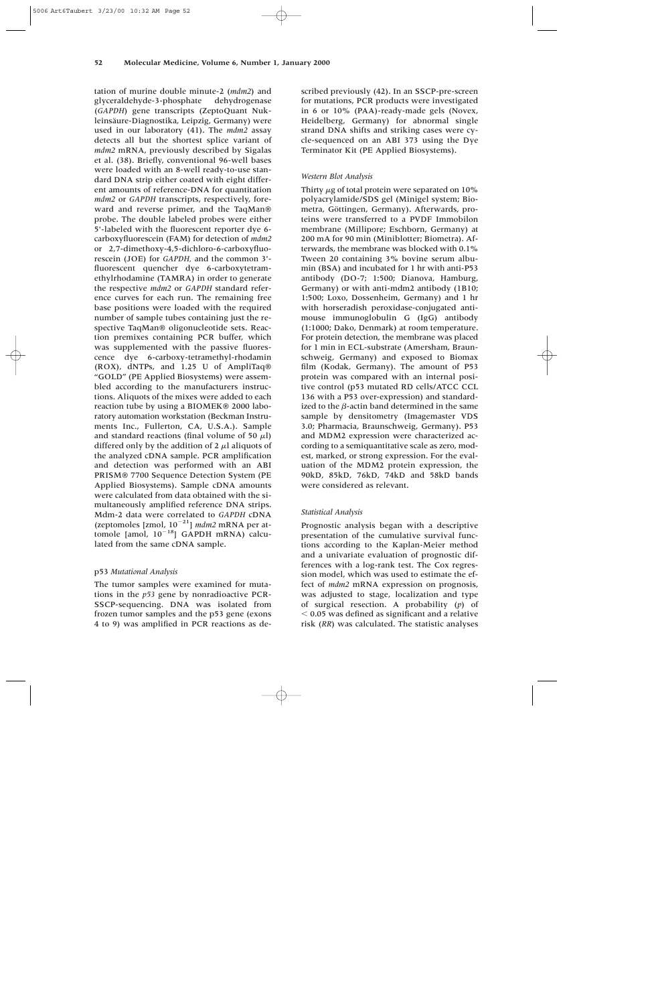tation of murine double minute-2 (*mdm2*) and glyceraldehyde-3-phosphate dehydrogenase (*GAPDH*) gene transcripts (ZeptoQuant Nukleinsäure-Diagnostika, Leipzig, Germany) were used in our laboratory (41). The *mdm2* assay detects all but the shortest splice variant of *mdm2* mRNA, previously described by Sigalas et al. (38). Briefly, conventional 96-well bases were loaded with an 8-well ready-to-use standard DNA strip either coated with eight different amounts of reference-DNA for quantitation *mdm2* or *GAPDH* transcripts, respectively, foreward and reverse primer, and the TaqMan® probe. The double labeled probes were either 5'-labeled with the fluorescent reporter dye 6 carboxyfluorescein (FAM) for detection of *mdm2* or 2,7-dimethoxy-4,5-dichloro-6-carboxyfluorescein (JOE) for *GAPDH,* and the common 3' fluorescent quencher dye 6-carboxytetramethylrhodamine (TAMRA) in order to generate the respective *mdm2* or *GAPDH* standard reference curves for each run. The remaining free base positions were loaded with the required number of sample tubes containing just the respective TaqMan® oligonucleotide sets. Reaction premixes containing PCR buffer, which was supplemented with the passive fluorescence dye 6-carboxy-tetramethyl-rhodamin (ROX), dNTPs, and 1.25 U of AmpliTaq® "GOLD" (PE Applied Biosystems) were assembled according to the manufacturers instructions. Aliquots of the mixes were added to each reaction tube by using a BIOMEK® 2000 laboratory automation workstation (Beckman Instruments Inc., Fullerton, CA, U.S.A.). Sample and standard reactions (final volume of 50  $\mu$ l) differed only by the addition of 2  $\mu$ l aliquots of the analyzed cDNA sample. PCR amplification and detection was performed with an ABI PRISM® 7700 Sequence Detection System (PE Applied Biosystems). Sample cDNA amounts were calculated from data obtained with the simultaneously amplified reference DNA strips. Mdm-2 data were correlated to *GAPDH* cDNA (zeptomoles [zmol,  $10^{-21}$ ] *mdm2* mRNA per attomole [amol,  $10^{-18}$ ] GAPDH mRNA) calculated from the same cDNA sample.

#### p53 *Mutational Analysis*

The tumor samples were examined for mutations in the *p53* gene by nonradioactive PCR-SSCP-sequencing. DNA was isolated from frozen tumor samples and the p53 gene (exons 4 to 9) was amplified in PCR reactions as described previously (42). In an SSCP-pre-screen for mutations, PCR products were investigated in 6 or 10% (PAA)-ready-made gels (Novex, Heidelberg, Germany) for abnormal single strand DNA shifts and striking cases were cycle-sequenced on an ABI 373 using the Dye Terminator Kit (PE Applied Biosystems).

#### *Western Blot Analysis*

Thirty  $\mu$ g of total protein were separated on 10% polyacrylamide/SDS gel (Minigel system; Biometra, Göttingen, Germany). Afterwards, proteins were transferred to a PVDF Immobilon membrane (Millipore; Eschborn, Germany) at 200 mA for 90 min (Miniblotter; Biometra). Afterwards, the membrane was blocked with 0.1% Tween 20 containing 3% bovine serum albumin (BSA) and incubated for 1 hr with anti-P53 antibody (DO-7; 1:500; Dianova, Hamburg, Germany) or with anti-mdm2 antibody (1B10; 1:500; Loxo, Dossenheim, Germany) and 1 hr with horseradish peroxidase-conjugated antimouse immunoglobulin G (IgG) antibody (1:1000; Dako, Denmark) at room temperature. For protein detection, the membrane was placed for 1 min in ECL-substrate (Amersham, Braunschweig, Germany) and exposed to Biomax film (Kodak, Germany). The amount of P53 protein was compared with an internal positive control (p53 mutated RD cells/ATCC CCL 136 with a P53 over-expression) and standardized to the  $\beta$ -actin band determined in the same sample by densitometry (Imagemaster VDS 3.0; Pharmacia, Braunschweig, Germany). P53 and MDM2 expression were characterized according to a semiquantitative scale as zero, modest, marked, or strong expression. For the evaluation of the MDM2 protein expression, the 90kD, 85kD, 76kD, 74kD and 58kD bands were considered as relevant.

#### *Statistical Analysis*

Prognostic analysis began with a descriptive presentation of the cumulative survival functions according to the Kaplan-Meier method and a univariate evaluation of prognostic differences with a log-rank test. The Cox regression model, which was used to estimate the effect of *mdm2* mRNA expression on prognosis, was adjusted to stage, localization and type of surgical resection. A probability (*p*) of  $<$  0.05 was defined as significant and a relative risk (*RR*) was calculated. The statistic analyses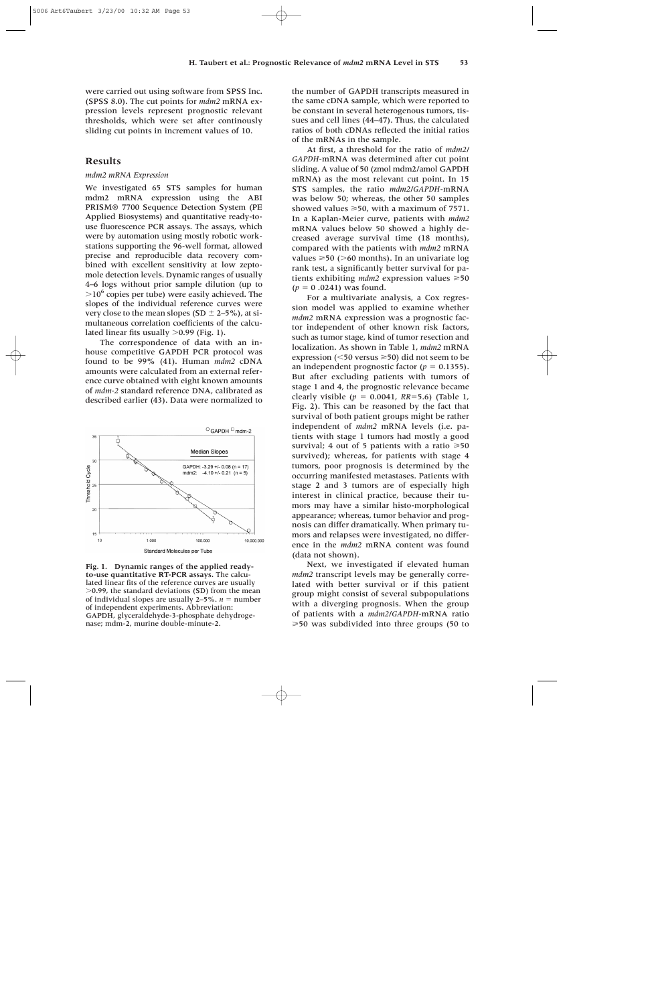were carried out using software from SPSS Inc. (SPSS 8.0). The cut points for *mdm2* mRNA expression levels represent prognostic relevant thresholds, which were set after continously sliding cut points in increment values of 10.

## **Results**

#### *mdm2 mRNA Expression*

We investigated 65 STS samples for human mdm2 mRNA expression using the ABI PRISM® 7700 Sequence Detection System (PE Applied Biosystems) and quantitative ready-touse fluorescence PCR assays. The assays, which were by automation using mostly robotic workstations supporting the 96-well format, allowed precise and reproducible data recovery combined with excellent sensitivity at low zeptomole detection levels. Dynamic ranges of usually 4–6 logs without prior sample dilution (up to  $>10^6$  copies per tube) were easily achieved. The slopes of the individual reference curves were very close to the mean slopes (SD  $\pm$  2–5%), at simultaneous correlation coefficients of the calculated linear fits usually  $>0.99$  (Fig. 1).

The correspondence of data with an inhouse competitive GAPDH PCR protocol was found to be 99% (41). Human *mdm2* cDNA amounts were calculated from an external reference curve obtained with eight known amounts of *mdm-2* standard reference DNA, calibrated as described earlier (43). Data were normalized to



**Fig. 1. Dynamic ranges of the applied readyto-use quantitative RT-PCR assays.** The calculated linear fits of the reference curves are usually  $>0.99$ , the standard deviations (SD) from the mean of individual slopes are usually  $2-5\%$ .  $n =$  number of independent experiments. Abbreviation: GAPDH, glyceraldehyde-3-phosphate dehydrogenase; mdm-2, murine double-minute-2.

the number of GAPDH transcripts measured in the same cDNA sample, which were reported to be constant in several heterogenous tumors, tissues and cell lines (44–47). Thus, the calculated ratios of both cDNAs reflected the initial ratios of the mRNAs in the sample.

At first, a threshold for the ratio of *mdm2/ GAPDH*-mRNA was determined after cut point sliding. A value of 50 (zmol mdm2/amol GAPDH mRNA) as the most relevant cut point. In 15 STS samples, the ratio *mdm2/GAPDH*-mRNA was below 50; whereas, the other 50 samples showed values  $\geq 50$ , with a maximum of 7571. In a Kaplan-Meier curve, patients with *mdm2* mRNA values below 50 showed a highly decreased average survival time (18 months), compared with the patients with *mdm2* mRNA values  $\geq 50$  ( $> 60$  months). In an univariate log rank test, a significantly better survival for patients exhibiting  $mdm2$  expression values  $\geq 50$  $(p = 0.0241)$  was found.

For a multivariate analysis, a Cox regression model was applied to examine whether *mdm2* mRNA expression was a prognostic factor independent of other known risk factors, such as tumor stage, kind of tumor resection and localization. As shown in Table 1, *mdm2* mRNA expression ( $\leq 50$  versus  $\geq 50$ ) did not seem to be an independent prognostic factor  $(p = 0.1355)$ . But after excluding patients with tumors of stage 1 and 4, the prognostic relevance became clearly visible  $(p = 0.0041, RR = 5.6)$  (Table 1, Fig. 2). This can be reasoned by the fact that survival of both patient groups might be rather independent of *mdm2* mRNA levels (i.e. patients with stage 1 tumors had mostly a good survival; 4 out of 5 patients with a ratio  $\geq 50$ survived); whereas, for patients with stage 4 tumors, poor prognosis is determined by the occurring manifested metastases. Patients with stage 2 and 3 tumors are of especially high interest in clinical practice, because their tumors may have a similar histo-morphological appearance; whereas, tumor behavior and prognosis can differ dramatically. When primary tumors and relapses were investigated, no difference in the *mdm2* mRNA content was found (data not shown).

Next, we investigated if elevated human *mdm2* transcript levels may be generally correlated with better survival or if this patient group might consist of several subpopulations with a diverging prognosis. When the group of patients with a *mdm2/GAPDH*-mRNA ratio -50 was subdivided into three groups (50 to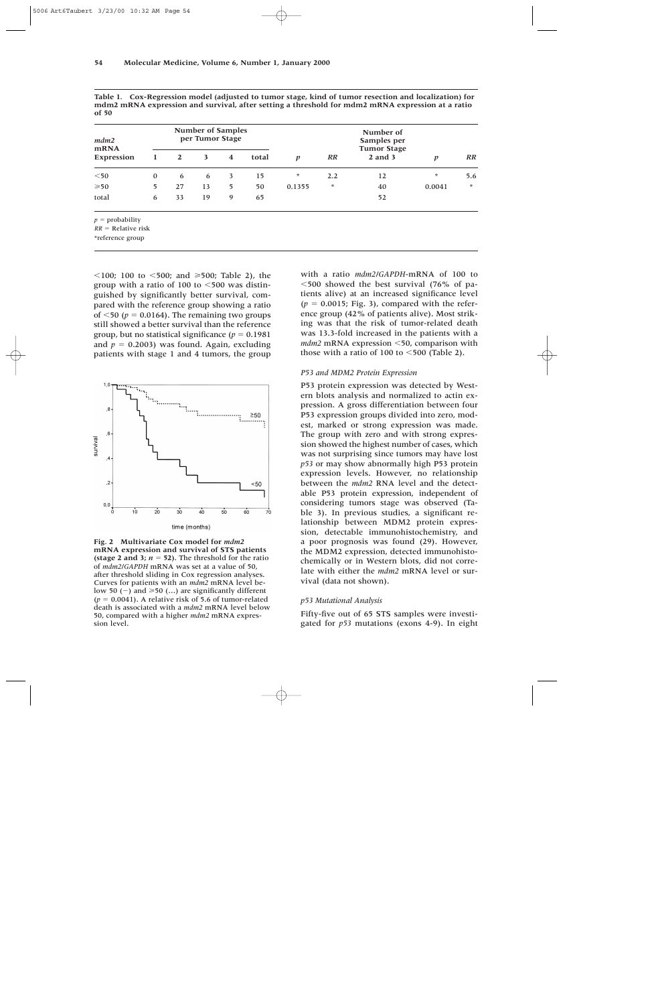| mdm2<br><b>mRNA</b><br>Expression | <b>Number of Samples</b><br>per Tumor Stage |              |    |   |       |                  |         | Number of<br>Samples per<br><b>Tumor Stage</b> |         |         |
|-----------------------------------|---------------------------------------------|--------------|----|---|-------|------------------|---------|------------------------------------------------|---------|---------|
|                                   | 1                                           | $\mathbf{2}$ | 3  | 4 | total | $\boldsymbol{p}$ | RR      | $2$ and $3$                                    | p       | RR      |
| $<$ 50                            | $\mathbf{0}$                                | 6            | 6  | 3 | 15    | $\star$          | 2.2     | 12                                             | $\star$ | 5.6     |
| $\geqslant 50$                    | 5                                           | 27           | 13 | 5 | 50    | 0.1355           | $\star$ | 40                                             | 0.0041  | $\star$ |
| total                             | 6                                           | 33           | 19 | 9 | 65    |                  |         | 52                                             |         |         |
| $p =$ probability                 |                                             |              |    |   |       |                  |         |                                                |         |         |

**Table 1. Cox-Regression model (adjusted to tumor stage, kind of tumor resection and localization) for mdm2 mRNA expression and survival, after setting a threshold for mdm2 mRNA expression at a ratio of 50**

 $RR = Relative$  risk

\*reference group

 $\leq$ 100; 100 to  $\leq$ 500; and  $\geq$ 500; Table 2), the group with a ratio of 100 to  $\leq 500$  was distinguished by significantly better survival, compared with the reference group showing a ratio of  $\leq$ 50 ( $p = 0.0164$ ). The remaining two groups still showed a better survival than the reference group, but no statistical significance  $(p = 0.1981)$ and  $p = 0.2003$ ) was found. Again, excluding patients with stage 1 and 4 tumors, the group



**Fig. 2 Multivariate Cox model for** *mdm2* **mRNA expression and survival of STS patients (stage 2 and 3;**  $n = 52$ **). The threshold for the ratio** of *mdm2/GAPDH* mRNA was set at a value of 50, after threshold sliding in Cox regression analyses. Curves for patients with an *mdm2* mRNA level below 50 (-) and  $\geq$  50 (...) are significantly different  $(p = 0.0041)$ . A relative risk of 5.6 of tumor-related death is associated with a *mdm2* mRNA level below 50, compared with a higher *mdm2* mRNA expression level.

with a ratio *mdm2/GAPDH*-mRNA of 100 to 500 showed the best survival (76% of patients alive) at an increased significance level  $(p = 0.0015;$  Fig. 3), compared with the reference group (42% of patients alive). Most striking was that the risk of tumor-related death was 13.3-fold increased in the patients with a *mdm2* mRNA expression <50, comparison with those with a ratio of 100 to  $\leq 500$  (Table 2).

#### *P53 and MDM2 Protein Expression*

P53 protein expression was detected by Western blots analysis and normalized to actin expression. A gross differentiation between four P53 expression groups divided into zero, modest, marked or strong expression was made. The group with zero and with strong expression showed the highest number of cases, which was not surprising since tumors may have lost *p53* or may show abnormally high P53 protein expression levels. However, no relationship between the *mdm2* RNA level and the detectable P53 protein expression, independent of considering tumors stage was observed (Table 3). In previous studies, a significant relationship between MDM2 protein expression, detectable immunohistochemistry, and a poor prognosis was found (29). However, the MDM2 expression, detected immunohistochemically or in Western blots, did not correlate with either the *mdm2* mRNA level or survival (data not shown).

#### *p53 Mutational Analysis*

Fifty-five out of 65 STS samples were investigated for *p53* mutations (exons 4-9). In eight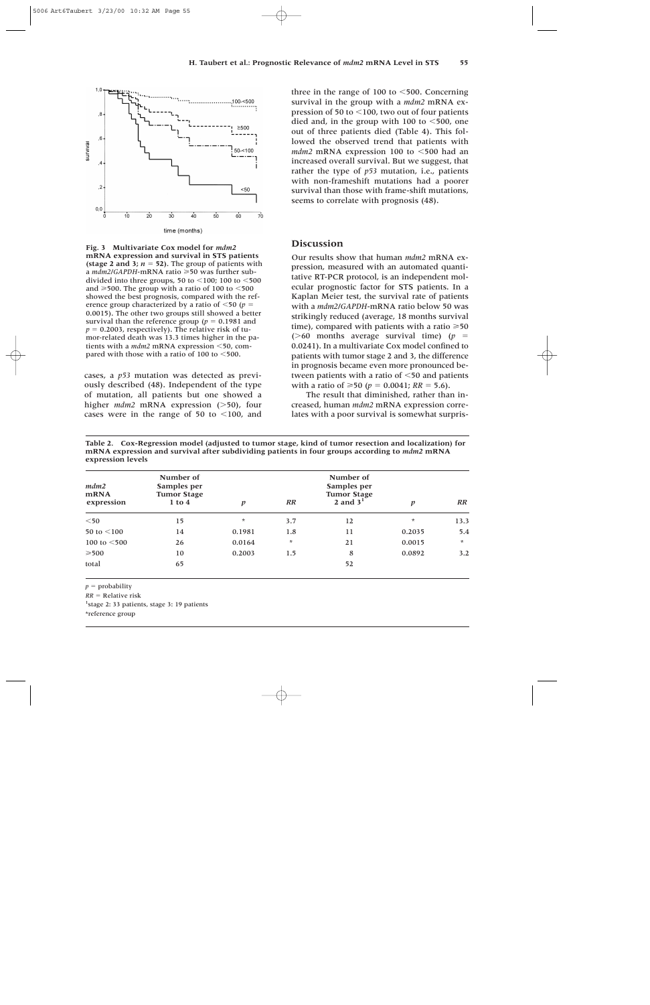

**Fig. 3 Multivariate Cox model for** *mdm2* **mRNA expression and survival in STS patients (stage 2 and 3;**  $n = 52$ **). The group of patients with** a *mdm2/GAPDH*-mRNA ratio ≥50 was further subdivided into three groups, 50 to  $\leq$  100; 100 to  $\leq$  500 and  $\geq$ 500. The group with a ratio of 100 to  $\leq$ 500 showed the best prognosis, compared with the reference group characterized by a ratio of  $\leq 50$  ( $p =$ 0.0015). The other two groups still showed a better survival than the reference group ( $p = 0.1981$  and  $p = 0.2003$ , respectively). The relative risk of tumor-related death was 13.3 times higher in the patients with a *mdm2* mRNA expression <50, compared with those with a ratio of  $100$  to  $\leq 500$ .

cases, a *p53* mutation was detected as previously described (48). Independent of the type of mutation, all patients but one showed a higher *mdm2* mRNA expression (>50), four cases were in the range of 50 to  $\leq$ 100, and three in the range of 100 to  $\leq 500$ . Concerning survival in the group with a *mdm2* mRNA expression of 50 to  $\leq$ 100, two out of four patients died and, in the group with 100 to  $\leq 500$ , one out of three patients died (Table 4). This followed the observed trend that patients with *mdm2* mRNA expression 100 to  $\leq 500$  had an increased overall survival. But we suggest, that rather the type of *p53* mutation, i.e., patients with non-frameshift mutations had a poorer survival than those with frame-shift mutations, seems to correlate with prognosis (48).

## **Discussion**

Our results show that human *mdm2* mRNA expression, measured with an automated quantitative RT-PCR protocol, is an independent molecular prognostic factor for STS patients. In a Kaplan Meier test, the survival rate of patients with a *mdm2/GAPDH*-mRNA ratio below 50 was strikingly reduced (average, 18 months survival time), compared with patients with a ratio  $\geq 50$ ( $>60$  months average survival time) ( $p =$ 0.0241). In a multivariate Cox model confined to patients with tumor stage 2 and 3, the difference in prognosis became even more pronounced between patients with a ratio of  $<$  50 and patients with a ratio of  $\geq 50$  ( $p = 0.0041$ ;  $RR = 5.6$ ).

The result that diminished, rather than increased, human *mdm2* mRNA expression correlates with a poor survival is somewhat surpris-

| mdm2<br><b>mRNA</b><br>expression | Number of<br>Samples per<br><b>Tumor Stage</b><br>$1$ to $4$ | Number of<br>Samples per<br><b>Tumor Stage</b><br>2 and $31$<br>RR<br>p<br>$\boldsymbol{p}$ |         |    |         |         |  |
|-----------------------------------|--------------------------------------------------------------|---------------------------------------------------------------------------------------------|---------|----|---------|---------|--|
| $50$                              | 15                                                           | $\ast$                                                                                      | 3.7     | 12 | $\star$ | 13.3    |  |
| 50 to $<$ 100                     | 14                                                           | 0.1981                                                                                      | 1.8     | 11 | 0.2035  | 5.4     |  |
| 100 to $<$ 500                    | 26                                                           | 0.0164                                                                                      | $\star$ | 21 | 0.0015  | $\star$ |  |
| $\geq 500$                        | 10                                                           | 0.2003                                                                                      | 1.5     | 8  | 0.0892  | 3.2     |  |
| total                             | 65                                                           |                                                                                             |         | 52 |         |         |  |

**Table 2. Cox-Regression model (adjusted to tumor stage, kind of tumor resection and localization) for mRNA expression and survival after subdividing patients in four groups according to** *mdm2* **mRNA expression levels**

 $p =$ probability

 $RR =$ **Relative risk** 

<sup>1</sup>stage 2: 33 patients, stage 3: 19 patients

\*reference group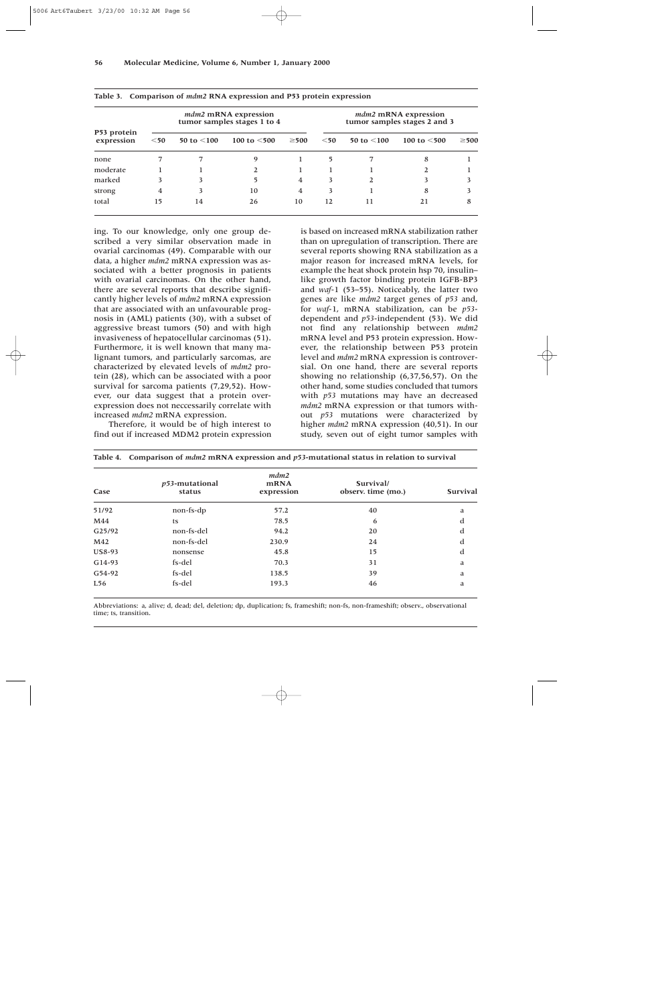| P53 protein<br>expression | mdm2 mRNA expression<br>tumor samples stages 1 to 4 |               |                   |                |        | mdm2 mRNA expression<br>tumor samples stages 2 and 3 |                |            |  |  |
|---------------------------|-----------------------------------------------------|---------------|-------------------|----------------|--------|------------------------------------------------------|----------------|------------|--|--|
|                           | $<$ 50                                              | 50 to $<$ 100 | 100 to $\leq 500$ | $\geq 500$     | $<$ 50 | 50 to $<$ 100                                        | 100 to $<$ 500 | $\geq 500$ |  |  |
| none                      |                                                     | 7             | Q                 |                | 5      |                                                      | 8              |            |  |  |
| moderate                  |                                                     |               |                   |                |        |                                                      |                |            |  |  |
| marked                    | 3                                                   | 3             |                   | 4              | 3      |                                                      |                |            |  |  |
| strong                    | 4                                                   | 3             | 10                | $\overline{4}$ | 3      |                                                      | 8              |            |  |  |
| total                     | 15                                                  | 14            | 26                | 10             | 12     | 11                                                   | 21             | 8          |  |  |

|  | Table 3. Comparison of <i>mdm2</i> RNA expression and P53 protein expression |  |  |  |  |  |
|--|------------------------------------------------------------------------------|--|--|--|--|--|
|--|------------------------------------------------------------------------------|--|--|--|--|--|

ing. To our knowledge, only one group described a very similar observation made in ovarial carcinomas (49). Comparable with our data, a higher *mdm2* mRNA expression was associated with a better prognosis in patients with ovarial carcinomas. On the other hand, there are several reports that describe significantly higher levels of *mdm2* mRNA expression that are associated with an unfavourable prognosis in (AML) patients (30), with a subset of aggressive breast tumors (50) and with high invasiveness of hepatocellular carcinomas (51). Furthermore, it is well known that many malignant tumors, and particularly sarcomas, are characterized by elevated levels of *mdm2* protein (28), which can be associated with a poor survival for sarcoma patients (7,29,52). However, our data suggest that a protein overexpression does not neccessarily correlate with increased *mdm2* mRNA expression.

Therefore, it would be of high interest to find out if increased MDM2 protein expression is based on increased mRNA stabilization rather than on upregulation of transcription. There are several reports showing RNA stabilization as a major reason for increased mRNA levels, for example the heat shock protein hsp 70, insulin– like growth factor binding protein IGFB-BP3 and *waf*-1 (53–55). Noticeably, the latter two genes are like *mdm2* target genes of *p53* and, for *waf*-1, mRNA stabilization, can be *p53* dependent and *p53*-independent (53). We did not find any relationship between *mdm2* mRNA level and P53 protein expression. However, the relationship between P53 protein level and *mdm2* mRNA expression is controversial. On one hand, there are several reports showing no relationship (6,37,56,57). On the other hand, some studies concluded that tumors with *p53* mutations may have an decreased *mdm2* mRNA expression or that tumors without *p53* mutations were characterized by higher *mdm2* mRNA expression (40,51). In our study, seven out of eight tumor samples with

| Case          | p53-mutational<br>status | mdm2<br>mRNA<br>expression | Survival/<br>observ. time (mo.) | <b>Survival</b><br>a |  |
|---------------|--------------------------|----------------------------|---------------------------------|----------------------|--|
| 51/92         | non-fs-dp                | 57.2                       | 40                              |                      |  |
| M44           | ts                       | 78.5                       | 6                               | d                    |  |
| G25/92        | non-fs-del               | 94.2                       | 20                              | d                    |  |
| M42           | non-fs-del               | 230.9                      | 24                              | d                    |  |
| <b>US8-93</b> | nonsense                 | 45.8                       | 15                              | d                    |  |
| G14-93        | fs-del                   | 70.3                       | 31                              | a                    |  |
| G54-92        | fs-del                   | 138.5                      | 39                              | a                    |  |
| L56           | fs-del                   | 193.3                      | 46                              | a                    |  |

|  |  | Table 4. Comparison of <i>mdm2</i> mRNA expression and p53-mutational status in relation to survival |  |  |  |  |  |  |
|--|--|------------------------------------------------------------------------------------------------------|--|--|--|--|--|--|
|--|--|------------------------------------------------------------------------------------------------------|--|--|--|--|--|--|

Abbreviations: a, alive; d, dead; del, deletion; dp, duplication; fs, frameshift; non-fs, non-frameshift; observ., observational time; ts, transition.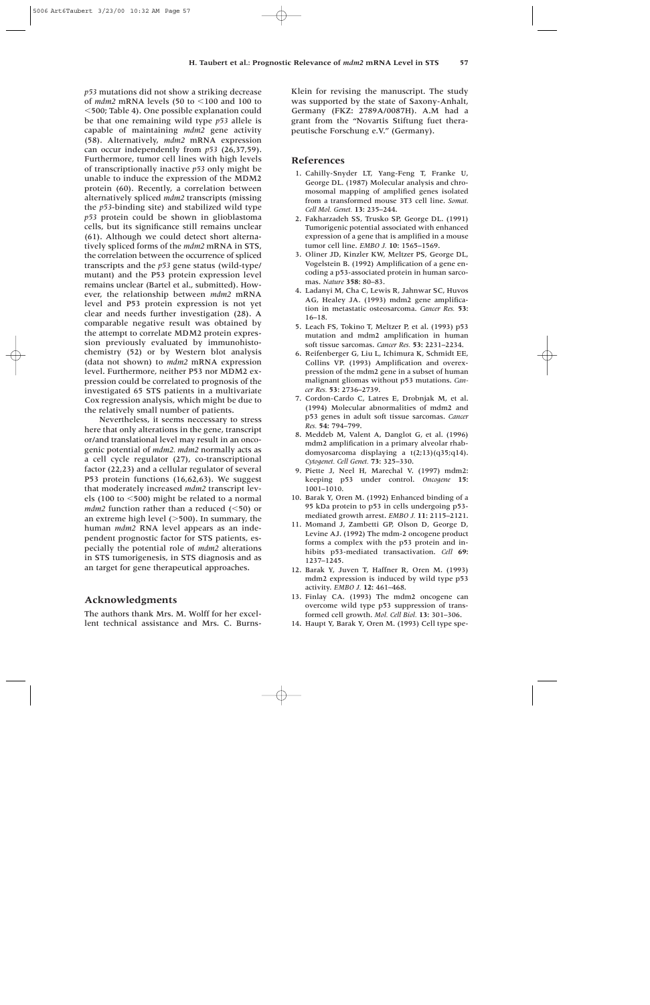*p53* mutations did not show a striking decrease of  $mdm2$  mRNA levels (50 to  $\leq$ 100 and 100 to 500; Table 4). One possible explanation could be that one remaining wild type *p53* allele is capable of maintaining *mdm2* gene activity (58). Alternatively, *mdm2* mRNA expression can occur independently from *p53* (26,37,59). Furthermore, tumor cell lines with high levels of transcriptionally inactive *p53* only might be unable to induce the expression of the MDM2 protein (60). Recently, a correlation between alternatively spliced *mdm2* transcripts (missing the *p53*-binding site) and stabilized wild type *p53* protein could be shown in glioblastoma cells, but its significance still remains unclear (61). Although we could detect short alternatively spliced forms of the *mdm2* mRNA in STS, the correlation between the occurrence of spliced transcripts and the *p53* gene status (wild-type/ mutant) and the P53 protein expression level remains unclear (Bartel et al., submitted). However, the relationship between *mdm2* mRNA level and P53 protein expression is not yet clear and needs further investigation (28). A comparable negative result was obtained by the attempt to correlate MDM2 protein expression previously evaluated by immunohistochemistry (52) or by Western blot analysis (data not shown) to *mdm2* mRNA expression level. Furthermore, neither P53 nor MDM2 expression could be correlated to prognosis of the investigated 65 STS patients in a multivariate Cox regression analysis, which might be due to the relatively small number of patients.

Nevertheless, it seems neccessary to stress here that only alterations in the gene, transcript or/and translational level may result in an oncogenic potential of *mdm2. mdm2* normally acts as a cell cycle regulator (27), co-transcriptional factor (22,23) and a cellular regulator of several P53 protein functions (16,62,63). We suggest that moderately increased *mdm2* transcript levels (100 to  $\leq$ 500) might be related to a normal *mdm2* function rather than a reduced  $(\leq 50)$  or an extreme high level  $(>500)$ . In summary, the human *mdm2* RNA level appears as an independent prognostic factor for STS patients, especially the potential role of *mdm2* alterations in STS tumorigenesis, in STS diagnosis and as an target for gene therapeutical approaches.

## **Acknowledgments**

The authors thank Mrs. M. Wolff for her excellent technical assistance and Mrs. C. BurnsKlein for revising the manuscript. The study was supported by the state of Saxony-Anhalt, Germany (FKZ: 2789A/0087H). A.M had a grant from the "Novartis Stiftung fuet therapeutische Forschung e.V." (Germany).

## **References**

- 11. Cahilly-Snyder LT, Yang-Feng T, Franke U, George DL. (1987) Molecular analysis and chromosomal mapping of amplified genes isolated from a transformed mouse 3T3 cell line. *Somat. Cell Mol. Genet.* **13:** 235–244.
- 12. Fakharzadeh SS, Trusko SP, George DL. (1991) Tumorigenic potential associated with enhanced expression of a gene that is amplified in a mouse tumor cell line. *EMBO J.* **10:** 1565–1569.
- 13. Oliner JD, Kinzler KW, Meltzer PS, George DL, Vogelstein B. (1992) Amplification of a gene encoding a p53-associated protein in human sarcomas. *Nature* **358:** 80–83.
- 14. Ladanyi M, Cha C, Lewis R, Jahnwar SC, Huvos AG, Healey JA. (1993) mdm2 gene amplification in metastatic osteosarcoma. *Cancer Res.* **53:** 16–18.
- 5. Leach FS, Tokino T, Meltzer P, et al. (1993) p53 mutation and mdm2 amplification in human soft tissue sarcomas. *Cancer Res.* **53:** 2231–2234.
- 16. Reifenberger G, Liu L, Ichimura K, Schmidt EE, Collins VP. (1993) Amplification and overexpression of the mdm2 gene in a subset of human malignant gliomas without p53 mutations. *Cancer Res.* **53:** 2736–2739.
- 17. Cordon-Cardo C, Latres E, Drobnjak M, et al. (1994) Molecular abnormalities of mdm2 and p53 genes in adult soft tissue sarcomas. *Cancer Res.* **54:** 794–799.
- 8. Meddeb M, Valent A, Danglot G, et al. (1996) mdm2 amplification in a primary alveolar rhabdomyosarcoma displaying a t(2;13)(q35;q14). *Cytogenet. Cell Genet.* **73:** 325–330.
- 19. Piette J, Neel H, Marechal V. (1997) mdm2: keeping p53 under control. *Oncogene* **15:** 1001–1010.
- 10. Barak Y, Oren M. (1992) Enhanced binding of a 95 kDa protein to p53 in cells undergoing p53 mediated growth arrest. *EMBO J.* **11:** 2115–2121.
- 11. Momand J, Zambetti GP, Olson D, George D, Levine AJ. (1992) The mdm-2 oncogene product forms a complex with the p53 protein and inhibits p53-mediated transactivation. *Cell* **69:** 1237–1245.
- 12. Barak Y, Juven T, Haffner R, Oren M. (1993) mdm2 expression is induced by wild type p53 activity. *EMBO J.* **12:** 461–468.
- 13. Finlay CA. (1993) The mdm2 oncogene can overcome wild type p53 suppression of transformed cell growth. *Mol. Cell Biol.* **13:** 301–306.
- 14. Haupt Y, Barak Y, Oren M. (1993) Cell type spe-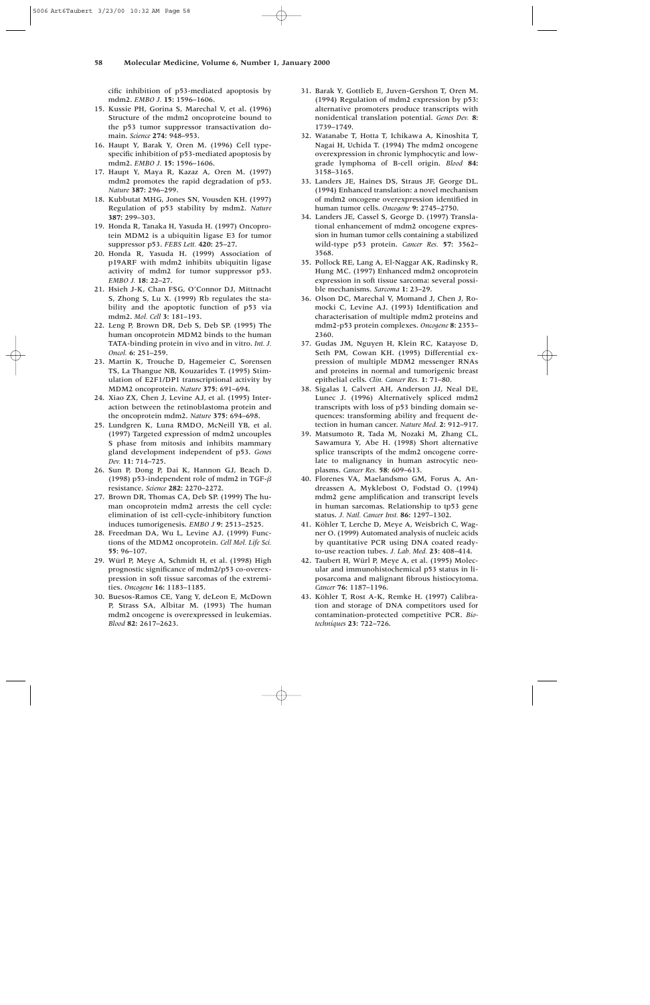cific inhibition of p53-mediated apoptosis by mdm2. *EMBO J.* **15:** 1596–1606.

- 15. Kussie PH, Gorina S, Marechal V, et al. (1996) Structure of the mdm2 oncoproteine bound to the p53 tumor suppressor transactivation domain. *Science* **274:** 948–953.
- 16. Haupt Y, Barak Y, Oren M. (1996) Cell typespecific inhibition of p53-mediated apoptosis by mdm2. *EMBO J.* **15:** 1596–1606.
- 17. Haupt Y, Maya R, Kazaz A, Oren M. (1997) mdm2 promotes the rapid degradation of p53. *Nature* **387:** 296–299.
- 18. Kubbutat MHG, Jones SN, Vousden KH. (1997) Regulation of p53 stability by mdm2. *Nature* **387:** 299–303.
- 19. Honda R, Tanaka H, Yasuda H. (1997) Oncoprotein MDM2 is a ubiquitin ligase E3 for tumor suppressor p53. *FEBS Lett.* **420:** 25–27.
- 20. Honda R, Yasuda H. (1999) Association of p19ARF with mdm2 inhibits ubiquitin ligase activity of mdm2 for tumor suppressor p53. *EMBO J.* **18:** 22–27.
- 21. Hsieh J-K, Chan FSG, O'Connor DJ, Mittnacht S, Zhong S, Lu X. (1999) Rb regulates the stability and the apoptotic function of p53 via mdm2. *Mol. Cell* **3:** 181–193.
- 22. Leng P, Brown DR, Deb S, Deb SP. (1995) The human oncoprotein MDM2 binds to the human TATA-binding protein in vivo and in vitro. *Int. J. Oncol.* **6:** 251–259.
- 23. Martin K, Trouche D, Hagemeier C, Sorensen TS, La Thangue NB, Kouzarides T. (1995) Stimulation of E2F1/DP1 transcriptional activity by MDM2 oncoprotein. *Nature* **375:** 691–694.
- 24. Xiao ZX, Chen J, Levine AJ, et al. (1995) Interaction between the retinoblastoma protein and the oncoprotein mdm2. *Nature* **375:** 694–698.
- 25. Lundgren K, Luna RMDO, McNeill YB, et al. (1997) Targeted expression of mdm2 uncouples S phase from mitosis and inhibits mammary gland development independent of p53. *Genes Dev.* **11:** 714–725.
- 26. Sun P, Dong P, Dai K, Hannon GJ, Beach D. (1998) p53-independent role of mdm2 in TGF- $\beta$ resistance. *Science* **282:** 2270–2272.
- 27. Brown DR, Thomas CA, Deb SP. (1999) The human oncoprotein mdm2 arrests the cell cycle: elimination of ist cell-cycle-inhibitory function induces tumorigenesis. *EMBO J* **9:** 2513–2525.
- 28. Freedman DA, Wu L, Levine AJ. (1999) Functions of the MDM2 oncoprotein. *Cell Mol. Life Sci.* **55:** 96–107.
- 29. Würl P, Meye A, Schmidt H, et al. (1998) High prognostic significance of mdm2/p53 co-overexpression in soft tissue sarcomas of the extremities. *Oncogene* **16:** 1183–1185.
- 30. Buesos-Ramos CE, Yang Y, deLeon E, McDown P, Strass SA, Albitar M. (1993) The human mdm2 oncogene is overexpressed in leukemias. *Blood* **82:** 2617–2623.
- 31. Barak Y, Gottlieb E, Juven-Gershon T, Oren M. (1994) Regulation of mdm2 expression by p53: alternative promoters produce transcripts with nonidentical translation potential. *Genes Dev.* **8:** 1739–1749.
- 32. Watanabe T, Hotta T, Ichikawa A, Kinoshita T, Nagai H, Uchida T. (1994) The mdm2 oncogene overexpression in chronic lymphocytic and lowgrade lymphoma of B-cell origin. *Blood* **84:** 3158–3165.
- 33. Landers JE, Haines DS, Straus JF, George DL. (1994) Enhanced translation: a novel mechanism of mdm2 oncogene overexpression identified in human tumor cells. *Oncogene* **9:** 2745–2750.
- 34. Landers JE, Cassel S, George D. (1997) Translational enhancement of mdm2 oncogene expression in human tumor cells containing a stabilized wild-type p53 protein. *Cancer Res.* **57:** 3562– 3568.
- 35. Pollock RE, Lang A, El-Naggar AK, Radinsky R, Hung MC. (1997) Enhanced mdm2 oncoprotein expression in soft tissue sarcoma: several possible mechanisms. *Sarcoma* **1:** 23–29.
- 36. Olson DC, Marechal V, Momand J, Chen J, Romocki C, Levine AJ. (1993) Identification and characterisation of multiple mdm2 proteins and mdm2-p53 protein complexes. *Oncogene* **8:** 2353– 2360.
- 37. Gudas JM, Nguyen H, Klein RC, Katayose D, Seth PM, Cowan KH. (1995) Differential expression of multiple MDM2 messenger RNAs and proteins in normal and tumorigenic breast epithelial cells. *Clin. Cancer Res.* **1:** 71–80.
- 38. Sigalas I, Calvert AH, Anderson JJ, Neal DE, Lunec J. (1996) Alternatively spliced mdm2 transcripts with loss of p53 binding domain sequences: transforming ability and frequent detection in human cancer. *Nature Med.* **2:** 912–917.
- 39. Matsumoto R, Tada M, Nozaki M, Zhang CL, Sawamura Y, Abe H. (1998) Short alternative splice transcripts of the mdm2 oncogene correlate to malignancy in human astrocytic neoplasms. *Cancer Res.* **58:** 609–613.
- 40. Florenes VA, Maelandsmo GM, Forus A, Andreassen A, Myklebost O, Fodstad O. (1994) mdm2 gene amplification and transcript levels in human sarcomas. Relationship to tp53 gene status. *J. Natl. Cancer Inst.* **86:** 1297–1302.
- 41. Köhler T, Lerche D, Meye A, Weisbrich C, Wagner O. (1999) Automated analysis of nucleic acids by quantitative PCR using DNA coated readyto-use reaction tubes. *J. Lab. Med.* **23:** 408–414.
- 42. Taubert H, Würl P, Meye A, et al. (1995) Molecular and immunohistochemical p53 status in liposarcoma and malignant fibrous histiocytoma. *Cancer* **76:** 1187–1196.
- 43. Köhler T, Rost A-K, Remke H. (1997) Calibration and storage of DNA competitors used for contamination-protected competitive PCR. *Biotechniques* **23:** 722–726.